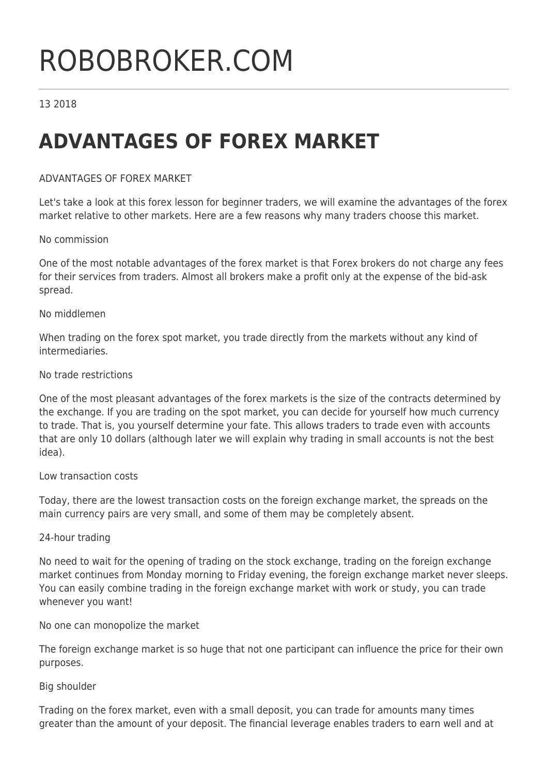# ROBOBROKER.COM

# 13 2018

# **ADVANTAGES OF FOREX MARKET**

# ADVANTAGES OF FOREX MARKET

Let's take a look at this forex lesson for beginner traders, we will examine the advantages of the forex market relative to other markets. Here are a few reasons why many traders choose this market.

#### No commission

One of the most notable advantages of the forex market is that Forex brokers do not charge any fees for their services from traders. Almost all brokers make a profit only at the expense of the bid-ask spread.

#### No middlemen

When trading on the forex spot market, you trade directly from the markets without any kind of intermediaries.

#### No trade restrictions

One of the most pleasant advantages of the forex markets is the size of the contracts determined by the exchange. If you are trading on the spot market, you can decide for yourself how much currency to trade. That is, you yourself determine your fate. This allows traders to trade even with accounts that are only 10 dollars (although later we will explain why trading in small accounts is not the best idea).

#### Low transaction costs

Today, there are the lowest transaction costs on the foreign exchange market, the spreads on the main currency pairs are very small, and some of them may be completely absent.

#### 24-hour trading

No need to wait for the opening of trading on the stock exchange, trading on the foreign exchange market continues from Monday morning to Friday evening, the foreign exchange market never sleeps. You can easily combine trading in the foreign exchange market with work or study, you can trade whenever you want!

No one can monopolize the market

The foreign exchange market is so huge that not one participant can influence the price for their own purposes.

#### Big shoulder

Trading on the forex market, even with a small deposit, you can trade for amounts many times greater than the amount of your deposit. The financial leverage enables traders to earn well and at